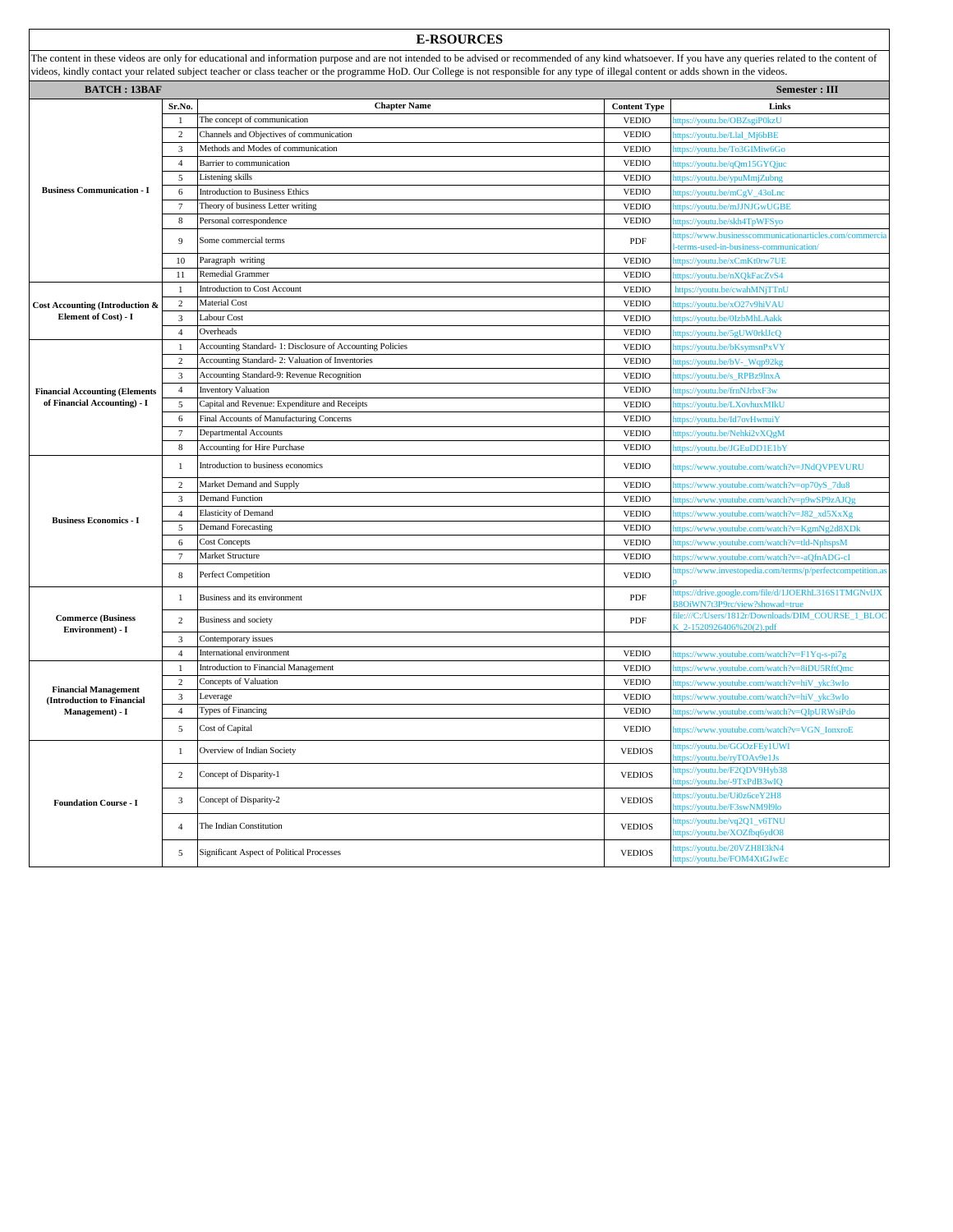|                                                                              |                | <b>E-RSOURCES</b>                                                                                                                                                                                        |                     |                                                                                                 |
|------------------------------------------------------------------------------|----------------|----------------------------------------------------------------------------------------------------------------------------------------------------------------------------------------------------------|---------------------|-------------------------------------------------------------------------------------------------|
|                                                                              |                | The content in these videos are only for educational and information purpose and are not intended to be advised or recommended of any kind whatsoever. If you have any queries related to the content of |                     |                                                                                                 |
|                                                                              |                | videos, kindly contact your related subject teacher or class teacher or the programme HoD. Our College is not responsible for any type of illegal content or adds shown in the videos.                   |                     |                                                                                                 |
| <b>BATCH: 13BAF</b>                                                          |                |                                                                                                                                                                                                          |                     | Semester : III                                                                                  |
|                                                                              | Sr.No.         | <b>Chapter Name</b>                                                                                                                                                                                      | <b>Content Type</b> | Links                                                                                           |
|                                                                              | -1             | The concept of communication                                                                                                                                                                             | <b>VEDIO</b>        | ttps://youtu.be/OBZsgiP0kzU                                                                     |
|                                                                              | $\overline{c}$ | Channels and Objectives of communication                                                                                                                                                                 | <b>VEDIO</b>        | ttps://youtu.be/Llal_Mj6bBE                                                                     |
|                                                                              | 3              | Methods and Modes of communication                                                                                                                                                                       | <b>VEDIO</b>        | ttps://youtu.be/To3GIMiw6Go                                                                     |
| <b>Business Communication - I</b>                                            | $\overline{4}$ | Barrier to communication                                                                                                                                                                                 | <b>VEDIO</b>        | ttps://youtu.be/qQm15GYQjuo                                                                     |
|                                                                              | 5              | Listening skills                                                                                                                                                                                         | <b>VEDIO</b>        | ttps://youtu.be/ypuMmjZubng                                                                     |
|                                                                              | 6              | <b>Introduction to Business Ethics</b>                                                                                                                                                                   | <b>VEDIO</b>        | ttps://youtu.be/mCgV_43oLnc                                                                     |
|                                                                              | 7              | Theory of business Letter writing<br>Personal correspondence                                                                                                                                             | <b>VEDIO</b>        | ttps://youtu.be/mJJNJGwUGBE                                                                     |
|                                                                              | 8              |                                                                                                                                                                                                          | <b>VEDIO</b>        | ttps://youtu.be/skh4TpWFSyo                                                                     |
|                                                                              | 9              | Some commercial terms                                                                                                                                                                                    | PDF                 | ttps://www.businesscommunicationarticles.com/commercia<br>terms-used-in-business-communication/ |
|                                                                              | 10             | Paragraph writing                                                                                                                                                                                        | <b>VEDIO</b>        | ttps://youtu.be/xCmKt0rw7UE                                                                     |
|                                                                              | 11             | Remedial Grammer                                                                                                                                                                                         | <b>VEDIO</b>        | ttps://youtu.be/nXQkFacZvS4                                                                     |
|                                                                              | 1              | <b>Introduction to Cost Account</b>                                                                                                                                                                      | <b>VEDIO</b>        | https://youtu.be/cwahMNjTTnU                                                                    |
| Cost Accounting (Introduction &                                              | 2              | Material Cost                                                                                                                                                                                            | <b>VEDIO</b>        | ttps://youtu.be/xO27v9hiVAU                                                                     |
| Element of Cost) - I                                                         | 3              | Labour Cost                                                                                                                                                                                              | <b>VEDIO</b>        | ttps://youtu.be/0IzbMhLAakk                                                                     |
|                                                                              | $\overline{4}$ | Overheads                                                                                                                                                                                                | <b>VEDIO</b>        | ttps://youtu.be/5gUW0rklJcQ                                                                     |
|                                                                              | 1              | Accounting Standard- 1: Disclosure of Accounting Policies                                                                                                                                                | <b>VEDIO</b>        | ttps://youtu.be/bKsymsnPxVY                                                                     |
|                                                                              | 2              | Accounting Standard-2: Valuation of Inventories                                                                                                                                                          | <b>VEDIO</b>        | ttps://youtu.be/bV-_Wqp92kg                                                                     |
|                                                                              | 3              | Accounting Standard-9: Revenue Recognition                                                                                                                                                               | <b>VEDIO</b>        | ttps://youtu.be/s_RPBz9lnxA                                                                     |
| <b>Financial Accounting (Elements</b>                                        | $\overline{4}$ | <b>Inventory Valuation</b>                                                                                                                                                                               | <b>VEDIO</b>        | ttps://youtu.be/frnNJrbxF3w                                                                     |
| of Financial Accounting) - I                                                 | 5              | Capital and Revenue: Expenditure and Receipts                                                                                                                                                            | <b>VEDIO</b>        | ttps://youtu.be/LXovhuxMIkU                                                                     |
|                                                                              | 6              | Final Accounts of Manufacturing Concerns                                                                                                                                                                 | <b>VEDIO</b>        | ttps://youtu.be/Id7ovHwnuiY                                                                     |
|                                                                              | $\tau$         | Departmental Accounts                                                                                                                                                                                    | <b>VEDIO</b>        | ttps://youtu.be/Nehki2vXQgM                                                                     |
|                                                                              | 8              | <b>Accounting for Hire Purchase</b>                                                                                                                                                                      | <b>VEDIO</b>        | ttps://youtu.be/JGEuDD1E1bY                                                                     |
|                                                                              | $\mathbf{1}$   | Introduction to business economics                                                                                                                                                                       | <b>VEDIO</b>        | https://www.youtube.com/watch?v=JNdQVPEVURU                                                     |
|                                                                              | $\overline{c}$ | Market Demand and Supply                                                                                                                                                                                 | <b>VEDIO</b>        | attps://www.youtube.com/watch?v=op70yS_7du8                                                     |
|                                                                              | 3              | <b>Demand Function</b>                                                                                                                                                                                   | <b>VEDIO</b>        | ttps://www.youtube.com/watch?v=p9wSP9zAJQg                                                      |
| <b>Business Economics - I</b>                                                | $\overline{4}$ | <b>Elasticity of Demand</b>                                                                                                                                                                              | <b>VEDIO</b>        | ttps://www.youtube.com/watch?v=J82_xd5XxXg                                                      |
|                                                                              | 5              | <b>Demand Forecasting</b>                                                                                                                                                                                | <b>VEDIO</b>        | ttps://www.youtube.com/watch?v=KgmNg2d8XDk                                                      |
|                                                                              | 6              | <b>Cost Concepts</b>                                                                                                                                                                                     | <b>VEDIO</b>        | ttps://www.youtube.com/watch?v=tld-NphspsM                                                      |
|                                                                              | 7              | Market Structure                                                                                                                                                                                         | <b>VEDIO</b>        | ttps://www.youtube.com/watch?v=-aQfnADG-cI                                                      |
|                                                                              | 8              | Perfect Competition                                                                                                                                                                                      | <b>VEDIO</b>        | ittps://www.investopedia.com/terms/p/perfectcompetition.as                                      |
|                                                                              | -1             | Business and its environment                                                                                                                                                                             | PDF                 | https://drive.google.com/file/d/1JOERhL316S1TMGNvIJX<br>88OiWN7t3P9rc/view?showad=true          |
| <b>Commerce</b> (Business<br>Environment) - I                                | 2              | Business and society                                                                                                                                                                                     | PDF                 | file:///C:/Users/1812r/Downloads/DIM_COURSE_1_BLOC<br>$-2 - 1520926406\%20(2)$ .pdf             |
|                                                                              | 3              | Contemporary issues                                                                                                                                                                                      |                     |                                                                                                 |
|                                                                              | $\overline{4}$ | International environment                                                                                                                                                                                | <b>VEDIO</b>        | ttps://www.youtube.com/watch?v=F1Yq-s-pi7g                                                      |
|                                                                              | 1              | Introduction to Financial Management                                                                                                                                                                     | <b>VEDIO</b>        | ttps://www.youtube.com/watch?v=8iDU5RftQmc                                                      |
| <b>Financial Management</b><br>(Introduction to Financial<br>Management) - I | $\mathbf{2}$   | Concepts of Valuation                                                                                                                                                                                    | <b>VEDIO</b>        | ttps://www.youtube.com/watch?v=hiV_ykc3wIo                                                      |
|                                                                              | 3              | Leverage                                                                                                                                                                                                 | <b>VEDIO</b>        | ttps://www.youtube.com/watch?v=hiV_ykc3wIo                                                      |
|                                                                              | $\overline{4}$ | Types of Financing                                                                                                                                                                                       | <b>VEDIO</b>        | nttps://www.youtube.com/watch?v=QIpURWsiPdo                                                     |
|                                                                              | 5              | Cost of Capital                                                                                                                                                                                          | <b>VEDIO</b>        | https://www.youtube.com/watch?v=VGN_IonxroE                                                     |
| <b>Foundation Course - I</b>                                                 | 1              | Overview of Indian Society                                                                                                                                                                               | <b>VEDIOS</b>       | attps://youtu.be/GGOzFEy1UWI<br>ttps://youtu.be/ryTOAv9e1Js                                     |
|                                                                              | $\sqrt{2}$     | Concept of Disparity-1                                                                                                                                                                                   | <b>VEDIOS</b>       | attps://youtu.be/F2QDV9Hyb38<br>ttps://youtu.be/-9TxPdB3wIQ                                     |
|                                                                              | 3              | Concept of Disparity-2                                                                                                                                                                                   | <b>VEDIOS</b>       | https://youtu.be/Ui0z6ceY2H8<br>ttps://youtu.be/F3swNM919lo                                     |
|                                                                              | $\overline{4}$ | The Indian Constitution                                                                                                                                                                                  | <b>VEDIOS</b>       | ttps://youtu.be/vq2Q1_v6TNU<br>ttps://youtu.be/XOZfbq6ydO8                                      |
|                                                                              | 5              | Significant Aspect of Political Processes                                                                                                                                                                | <b>VEDIOS</b>       | ttps://youtu.be/20VZH8I3kN4<br>ttps://youtu.be/FOM4XtGJwEc                                      |
|                                                                              |                |                                                                                                                                                                                                          |                     |                                                                                                 |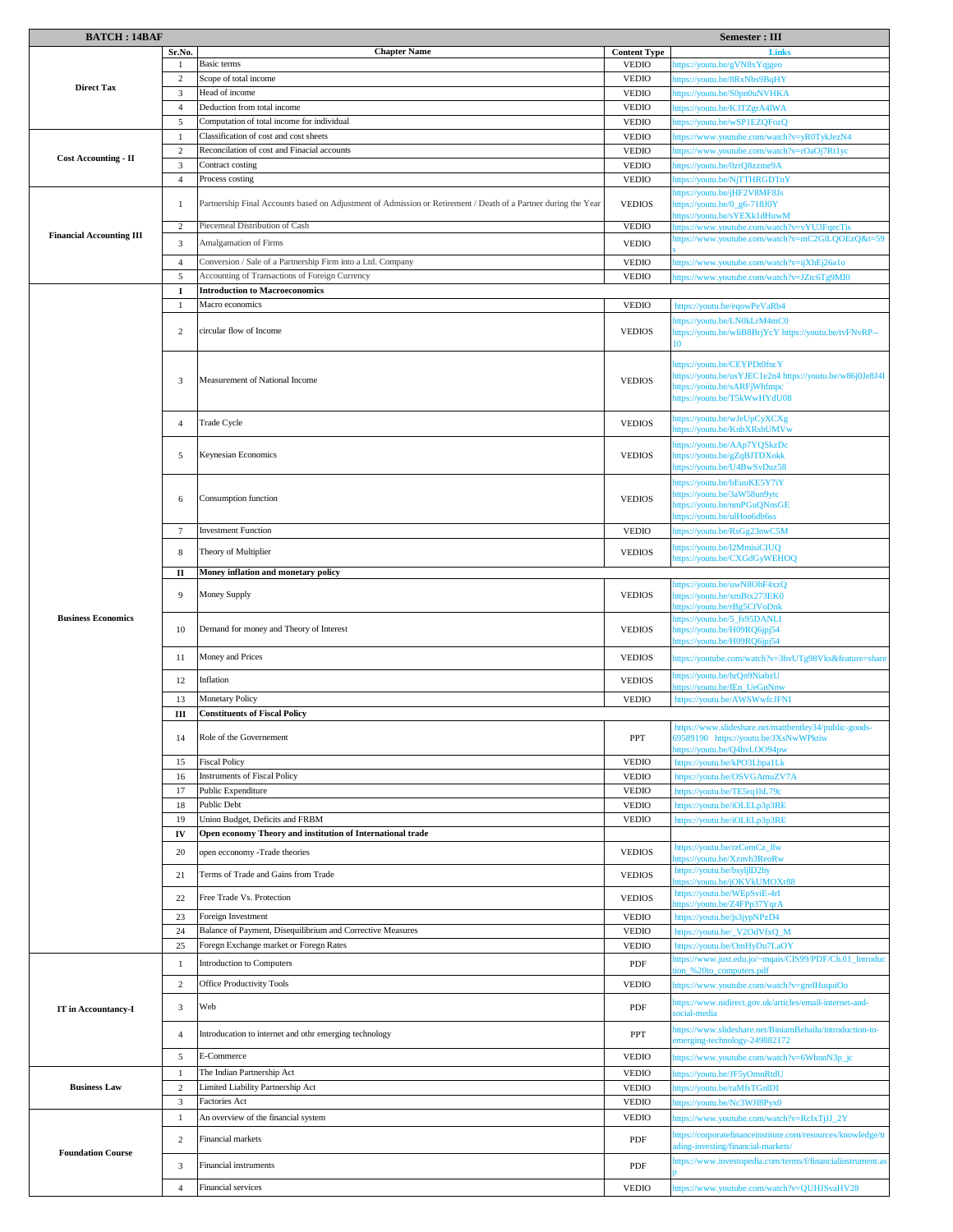| <b>BATCH: 14BAF</b>             |                 |                                                                                                                | Semester : III      |                                                                                                  |
|---------------------------------|-----------------|----------------------------------------------------------------------------------------------------------------|---------------------|--------------------------------------------------------------------------------------------------|
|                                 | Sr.No.          | <b>Chapter Name</b>                                                                                            | <b>Content Type</b> | <b>Link</b>                                                                                      |
| <b>Direct Tax</b>               | -1              | Basic terms                                                                                                    | <b>VEDIO</b>        | nttps://youtu.be/gVN8xYqjgeo                                                                     |
|                                 | 2               | Scope of total income                                                                                          | <b>VEDIO</b>        | ttps://youtu.be/8RxNbs9BqHY                                                                      |
|                                 | 3               | Head of income                                                                                                 | <b>VEDIO</b>        | nttps://youtu.be/S0pn0uNVHKA                                                                     |
|                                 | $\overline{4}$  | Deduction from total income                                                                                    | <b>VEDIO</b>        | ttps://youtu.be/K3TZgrA4lWA                                                                      |
|                                 | 5               | Computation of total income for individual                                                                     | <b>VEDIO</b>        | ttps://youtu.be/wSP1EZQFozQ                                                                      |
|                                 | $\mathbf{1}$    | Classification of cost and cost sheets                                                                         | <b>VEDIO</b>        | https://www.youtube.com/watch?v=yR0TykJezN4                                                      |
| <b>Cost Accounting - II</b>     | $\overline{2}$  | Reconcilation of cost and Finacial accounts                                                                    | <b>VEDIO</b>        | attps://www.youtube.com/watch?v=rOaOj7Rt1yc                                                      |
|                                 | 3               | Contract costing                                                                                               | <b>VEDIO</b>        | nttps://youtu.be/0zrQ8zzme9A                                                                     |
|                                 | $\overline{4}$  | Process costing                                                                                                | <b>VEDIO</b>        | ttps://youtu.be/NjTTHRGDTnY                                                                      |
|                                 | 1               | Partnership Final Accounts based on Adjustment of Admission or Retirement / Death of a Partner during the Year | <b>VEDIOS</b>       | https://youtu.be/jHF2V8MF8Js<br>https://youtu.be/0_g6-718J0Y                                     |
|                                 |                 |                                                                                                                |                     | ttps://youtu.be/sYEXk1dHuwM                                                                      |
| <b>Financial Accounting III</b> | $\overline{2}$  | Piecemeal Distribution of Cash                                                                                 | <b>VEDIO</b>        | attps://www.youtube.com/watch?v=vYU3FqecTis                                                      |
|                                 | 3               | <b>Amalgamation of Firms</b>                                                                                   | <b>VEDIO</b>        | nttps://www.youtube.com/watch?v=mC2GILQOEzQ&t=59                                                 |
|                                 | $\overline{4}$  | Conversion / Sale of a Partnership Firm into a Ltd. Company                                                    | <b>VEDIO</b>        | attps://www.youtube.com/watch?v=ijXhEj26a1o                                                      |
|                                 | 5               | Accounting of Transactions of Foreign Currency                                                                 | <b>VEDIO</b>        | attps://www.youtube.com/watch?v=JZtc6Tg9MI0                                                      |
|                                 | 1               | <b>Introduction to Macroeconomics</b>                                                                          |                     |                                                                                                  |
|                                 | 1               | Macro economics                                                                                                | <b>VEDIO</b>        | https://youtu.be/eqowPeVaRb4                                                                     |
|                                 |                 |                                                                                                                |                     | https://youtu.be/LN0kLrM4mC0                                                                     |
|                                 | 2               | circular flow of Income                                                                                        | <b>VEDIOS</b>       | https://youtu.be/wIiB8BrjYcY https://youtu.be/tvFNvRP--                                          |
|                                 |                 |                                                                                                                |                     |                                                                                                  |
|                                 |                 |                                                                                                                |                     | https://youtu.be/CEYPDt0fncY                                                                     |
|                                 | 3               | Measurement of National Income                                                                                 | <b>VEDIOS</b>       | https://youtu.be/usYJEC1e2n4 https://youtu.be/w86j0Je8J4I                                        |
|                                 |                 |                                                                                                                |                     | https://youtu.be/sARFjWhfmpc<br>https://youtu.be/T5kWwHYdU08                                     |
|                                 |                 |                                                                                                                |                     |                                                                                                  |
|                                 | $\overline{4}$  | Trade Cycle                                                                                                    | <b>VEDIOS</b>       | https://youtu.be/wJeUpCyXCXg<br>https://youtu.be/KnbXRshUMVw                                     |
|                                 |                 |                                                                                                                |                     | https://youtu.be/AAp7YQSkzDc                                                                     |
|                                 | 5               | Keynesian Economics                                                                                            | <b>VEDIOS</b>       | https://youtu.be/gZqBJTDXokk                                                                     |
|                                 |                 |                                                                                                                |                     | attps://youtu.be/U4BwSvDuz58                                                                     |
|                                 |                 |                                                                                                                |                     | https://youtu.be/bEuuKE5Y7iY                                                                     |
|                                 | 6               | Consumption function                                                                                           | <b>VEDIOS</b>       | https://youtu.be/3aW58un9ytc<br>nttps://youtu.be/nmPGuQNnsGE                                     |
|                                 |                 |                                                                                                                |                     | nttps://youtu.be/ulHoo6db6ss                                                                     |
|                                 | $7\phantom{.0}$ | <b>Investment Function</b>                                                                                     | <b>VEDIO</b>        | nttps://youtu.be/RsGg23nwC5M                                                                     |
|                                 | 8               |                                                                                                                | <b>VEDIOS</b>       | https://youtu.be/l2MmisiCIUQ                                                                     |
|                                 |                 | Theory of Multiplier                                                                                           |                     | https://youtu.be/CXGdGyWEHOQ                                                                     |
|                                 | п               | Money inflation and monetary policy                                                                            |                     |                                                                                                  |
|                                 | 9               | Money Supply                                                                                                   | <b>VEDIOS</b>       | nttps://youtu.be/uwN8OhF4xzQ<br>https://youtu.be/xmBtx273EK0                                     |
|                                 |                 |                                                                                                                |                     | https://youtu.be/rBg5CfVoDnk                                                                     |
| <b>Business Economics</b>       |                 |                                                                                                                | <b>VEDIOS</b>       | https://youtu.be/5_fs95DANLI                                                                     |
|                                 | 10              | Demand for money and Theory of Interest                                                                        |                     | https://youtu.be/H09RQ6jpj54<br>ttps://youtu.be/H09RQ6jpj54                                      |
|                                 | 11              | Money and Prices                                                                                               | <b>VEDIOS</b>       | nttps://youtube.com/watch?v=3hvUTg98Vks&feature=share                                            |
|                                 |                 |                                                                                                                |                     | https://youtu.be/hrQn9NiabzU                                                                     |
|                                 | 12              | Inflation                                                                                                      | <b>VEDIOS</b>       | ttps://youtu.be/IEn_UeGnNnw                                                                      |
|                                 | 13              | <b>Monetary Policy</b>                                                                                         | <b>VEDIO</b>        | https://youtu.be/AWSWwfcJFNI                                                                     |
|                                 | Ш               | <b>Constituents of Fiscal Policy</b>                                                                           |                     |                                                                                                  |
|                                 | 14              | Role of the Governement                                                                                        | PPT                 | https://www.slideshare.net/mattbentley34/public-goods-<br>69589190 https://youtu.be/JXsNwWPktiw  |
|                                 |                 |                                                                                                                |                     | ttps://youtu.be/Q4hvLOO94pw                                                                      |
|                                 | 15              | <b>Fiscal Policy</b>                                                                                           | <b>VEDIO</b>        | https://youtu.be/kPO3Lbpa1Lk                                                                     |
|                                 | 16              | <b>Instruments of Fiscal Policy</b>                                                                            | <b>VEDIO</b>        | https://youtu.be/OSVGAmuZV7A                                                                     |
|                                 | 17              | Public Expenditure                                                                                             | <b>VEDIO</b>        | https://youtu.be/TE5rq1hL79c                                                                     |
|                                 | 18              | Public Debt                                                                                                    | <b>VEDIO</b>        | https://youtu.be/iOLELp3p3RE                                                                     |
|                                 | 19              | Union Budget, Deficits and FRBM                                                                                | <b>VEDIO</b>        | https://youtu.be/iOLELp3p3RE                                                                     |
|                                 | IV              | Open economy Theory and institution of International trade                                                     |                     |                                                                                                  |
|                                 | 20              | open ecconomy -Trade theories                                                                                  | <b>VEDIOS</b>       | https://youtu.be/rzCemCz_lfw<br>ttps://youtu.be/Xznyh3ReoRw                                      |
|                                 | 21              | Terms of Trade and Gains from Trade                                                                            | <b>VEDIOS</b>       | https://youtu.be/bsyljlD2hy                                                                      |
|                                 |                 |                                                                                                                |                     | attps://youtu.be/jOKVkUMOXr88<br>https://youtu.be/WEpSviE-4rI                                    |
|                                 | 22              | Free Trade Vs. Protection                                                                                      | <b>VEDIOS</b>       | https://youtu.be/Z4FPp37YqrA                                                                     |
|                                 | 23              | Foreign Investment                                                                                             | <b>VEDIO</b>        | https://youtu.be/js3jypNPzD4                                                                     |
|                                 | 24              | Balance of Payment, Disequilibrium and Corrective Measures                                                     | <b>VEDIO</b>        | https://youtu.be/_V2OdVfxQ_M                                                                     |
|                                 | 25              | Foregn Exchange market or Foregn Rates                                                                         | <b>VEDIO</b>        | https://youtu.be/OmHyDu7LaOY                                                                     |
|                                 | $\mathbf{1}$    | Introduction to Computers                                                                                      | PDF                 | nttps://www.just.edu.jo/~mqais/CIS99/PDF/Ch.01_Introduc<br>ion_%20to_computers.pdf               |
|                                 | 2               | <b>Office Productivity Tools</b>                                                                               | <b>VEDIO</b>        | https://www.youtube.com/watch?v=greIHuquiOo                                                      |
|                                 |                 |                                                                                                                |                     | https://www.nidirect.gov.uk/articles/email-internet-and-                                         |
| IT in Accountancy-I             | 3               | Web                                                                                                            | PDF                 | ocial-media                                                                                      |
|                                 |                 |                                                                                                                |                     | https://www.slideshare.net/BiniamBehailu/introduction-to-                                        |
|                                 | 4               | Introducation to internet and othr emerging technology                                                         | PPT                 | emerging-technology-249882172                                                                    |
|                                 | 5               | E-Commerce                                                                                                     | <b>VEDIO</b>        | nttps://www.youtube.com/watch?v=6WbnnN3p_jc                                                      |
| <b>Business Law</b>             | -1              | The Indian Partnership Act                                                                                     | <b>VEDIO</b>        | nttps://youtu.be/JF5yOmnRtdU                                                                     |
|                                 | 2               | Limited Liability Partnership Act                                                                              | <b>VEDIO</b>        | nttps://youtu.be/raMfsTGnlDI                                                                     |
|                                 | 3               | Factories Act                                                                                                  | <b>VEDIO</b>        | nttps://youtu.be/Nc3WJf8Pyx0                                                                     |
| <b>Foundation Course</b>        | $\mathbf{1}$    | An overview of the financial system                                                                            | <b>VEDIO</b>        | https://www.youtube.com/watch?v=RcIxTjJJ_2Y                                                      |
|                                 | 2               | Financial markets                                                                                              | PDF                 | nttps://corporatefinanceinstitute.com/resources/knowledge/tr                                     |
|                                 |                 |                                                                                                                |                     | ding-investing/financial-markets/<br>attps://www.investopedia.com/terms/f/financialinstrument.as |
|                                 | 3               | Financial instruments                                                                                          | PDF                 |                                                                                                  |
|                                 | $\overline{4}$  | Financial services                                                                                             | <b>VEDIO</b>        | https://www.youtube.com/watch?v=QUHJSvaHV28                                                      |